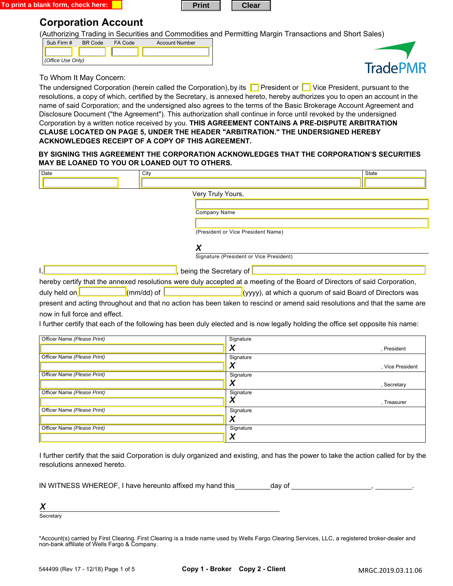



# **Corporation Account**

(Authorizing Trading in Securities and Commodities and Permitting Margin Transactions and Short Sales)

| Sub Firm #        | <b>BR</b> Code | FA Code | <b>Account Number</b> |
|-------------------|----------------|---------|-----------------------|
|                   |                |         |                       |
| (Office Use Only) |                |         |                       |



To Whom It May Concern:

The undersigned Corporation (herein called the Corporation), by its **P** President or **P** Vice President, pursuant to the resolutions, a copy of which, certified by the Secretary, is annexed hereto, hereby authorizes you to open an account in the name of said Corporation; and the undersigned also agrees to the terms of the Basic Brokerage Account Agreement and Disclosure Document ("the Agreement"). This authorization shall continue in force until revoked by the undersigned Corporation by a written notice received by you. **THIS AGREEMENT CONTAINS A PRE-DISPUTE ARBITRATION CLAUSE LOCATED ON PAGE 5, UNDER THE HEADER "ARBITRATION." THE UNDERSIGNED HEREBY ACKNOWLEDGES RECEIPT OF A COPY OF THIS AGREEMENT.** 

## **BY SIGNING THIS AGREEMENT THE CORPORATION ACKNOWLEDGES THAT THE CORPORATION'S SECURITIES MAY BE LOANED TO YOU OR LOANED OUT TO OTHERS.**

| (President or Vice President Name)<br>Signature (President or Vice President)<br>hereby certify that the annexed resolutions were duly accepted at a meeting of the Board of Directors of said Corporation, |
|-------------------------------------------------------------------------------------------------------------------------------------------------------------------------------------------------------------|
|                                                                                                                                                                                                             |
|                                                                                                                                                                                                             |
|                                                                                                                                                                                                             |
|                                                                                                                                                                                                             |
|                                                                                                                                                                                                             |
|                                                                                                                                                                                                             |
|                                                                                                                                                                                                             |
|                                                                                                                                                                                                             |
|                                                                                                                                                                                                             |
|                                                                                                                                                                                                             |
|                                                                                                                                                                                                             |
| (yyyy), at which a quorum of said Board of Directors was                                                                                                                                                    |
| present and acting throughout and that no action has been taken to rescind or amend said resolutions and that the same are                                                                                  |
|                                                                                                                                                                                                             |
| I further certify that each of the following has been duly elected and is now legally holding the office set opposite his name:                                                                             |
|                                                                                                                                                                                                             |
|                                                                                                                                                                                                             |
| , President                                                                                                                                                                                                 |
|                                                                                                                                                                                                             |
| , Vice President                                                                                                                                                                                            |
|                                                                                                                                                                                                             |
| , Secretary                                                                                                                                                                                                 |
| , Treasurer                                                                                                                                                                                                 |
|                                                                                                                                                                                                             |
|                                                                                                                                                                                                             |
|                                                                                                                                                                                                             |
|                                                                                                                                                                                                             |
|                                                                                                                                                                                                             |

I further certify that the said Corporation is duly organized and existing, and has the power to take the action called for by the resolutions annexed hereto.

| IN WITNESS WHEREOF, I have hereunto affixed my hand this | dav of |
|----------------------------------------------------------|--------|
|----------------------------------------------------------|--------|

*X* 

**Secretary** 

\*Account(s) carried by First Clearing. First Clearing is a trade name used by Wells Fargo Clearing Services, LLC, a registered broker-dealer and non-bank affiliate of Wells Fargo & Company.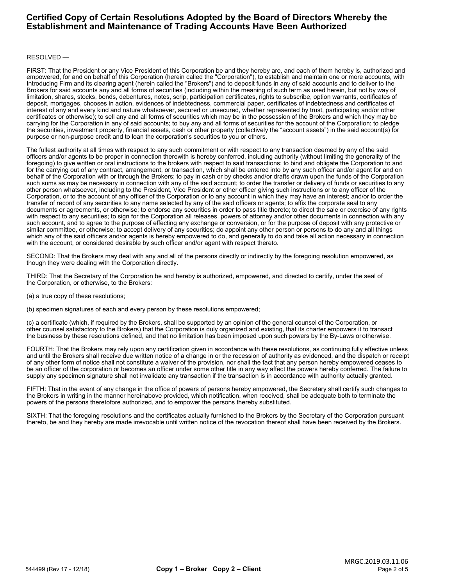## **Certified Copy of Certain Resolutions Adopted by the Board of Directors Whereby the Establishment and Maintenance of Trading Accounts Have Been Authorized**

## RESOLVED —

FIRST: That the President or any Vice President of this Corporation be and they hereby are, and each of them hereby is, authorized and empowered, for and on behalf of this Corporation (herein called the "Corporation"), to establish and maintain one or more accounts, with Introducing Firm and its clearing agent (herein called the "Brokers") and to deposit funds in any of said accounts and to deliver to the Brokers for said accounts any and all forms of securities (including within the meaning of such term as used herein, but not by way of limitation, shares, stocks, bonds, debentures, notes, scrip, participation certificates, rights to subscribe, option warrants, certificates of deposit, mortgages, chooses in action, evidences of indebtedness, commercial paper, certificates of indebtedness and certificates of interest of any and every kind and nature whatsoever, secured or unsecured, whether represented by trust, participating and/or other certificates or otherwise); to sell any and all forms of securities which may be in the possession of the Brokers and which they may be carrying for the Corporation in any of said accounts; to buy any and all forms of securities for the account of the Corporation; to pledge the securities, investment property, financial assets, cash or other property (collectively the "account assets") in the said account(s) for purpose or non-purpose credit and to loan the corporation's securities to you or others.

The fullest authority at all times with respect to any such commitment or with respect to any transaction deemed by any of the said officers and/or agents to be proper in connection therewith is hereby conferred, including authority (without limiting the generality of the foregoing) to give written or oral instructions to the brokers with respect to said transactions; to bind and obligate the Corporation to and for the carrying out of any contract, arrangement, or transaction, which shall be entered into by any such officer and/or agent for and on behalf of the Corporation with or through the Brokers; to pay in cash or by checks and/or drafts drawn upon the funds of the Corporation such sums as may be necessary in connection with any of the said account; to order the transfer or delivery of funds or securities to any other person whatsoever, including to the President, Vice President or other officer giving such instructions or to any officer of the Corporation, or to the account of any officer of the Corporation or to any account in which they may have an interest; and/or to order the transfer of record of any securities to any name selected by any of the said officers or agents; to affix the corporate seal to any documents or agreements, or otherwise; to endorse any securities in order to pass title thereto; to direct the sale or exercise of any rights with respect to any securities; to sign for the Corporation all releases, powers of attorney and/or other documents in connection with any such account, and to agree to the purpose of effecting any exchange or conversion, or for the purpose of deposit with any protective or similar committee, or otherwise; to accept delivery of any securities; do appoint any other person or persons to do any and all things which any of the said officers and/or agents is hereby empowered to do, and generally to do and take all action necessary in connection with the account, or considered desirable by such officer and/or agent with respect thereto.

SECOND: That the Brokers may deal with any and all of the persons directly or indirectly by the foregoing resolution empowered, as though they were dealing with the Corporation directly.

THIRD: That the Secretary of the Corporation be and hereby is authorized, empowered, and directed to certify, under the seal of the Corporation, or otherwise, to the Brokers:

(a) a true copy of these resolutions;

(b) specimen signatures of each and every person by these resolutions empowered;

(c) a certificate (which, if required by the Brokers, shall be supported by an opinion of the general counsel of the Corporation, or other counsel satisfactory to the Brokers) that the Corporation is duly organized and existing, that its charter empowers it to transact the business by these resolutions defined, and that no limitation has been imposed upon such powers by the By-Laws or otherwise.

FOURTH: That the Brokers may rely upon any certification given in accordance with these resolutions, as continuing fully effective unless and until the Brokers shall receive due written notice of a change in or the recession of authority as evidenced, and the dispatch or receipt of any other form of notice shall not constitute a waiver of the provision, nor shall the fact that any person hereby empowered ceases to be an officer of the corporation or becomes an officer under some other title in any way affect the powers hereby conferred. The failure to supply any specimen signature shall not invalidate any transaction if the transaction is in accordance with authority actually granted.

FIFTH: That in the event of any change in the office of powers of persons hereby empowered, the Secretary shall certify such changes to the Brokers in writing in the manner hereinabove provided, which notification, when received, shall be adequate both to terminate the powers of the persons theretofore authorized, and to empower the persons thereby substituted.

SIXTH: That the foregoing resolutions and the certificates actually furnished to the Brokers by the Secretary of the Corporation pursuant thereto, be and they hereby are made irrevocable until written notice of the revocation thereof shall have been received by the Brokers.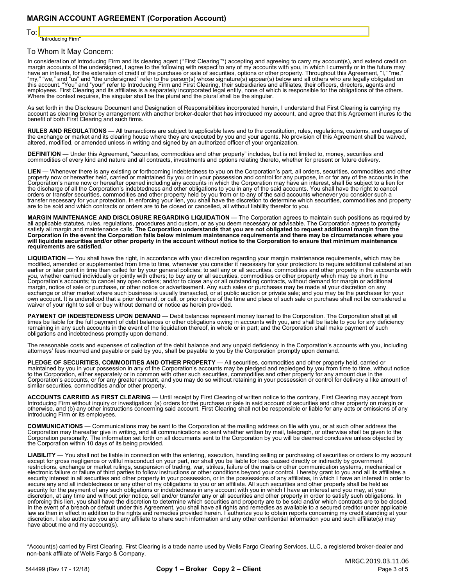To:

"Introducing Firm"

## To Whom It May Concern:

In consideration of Introducing Firm and its clearing agent (''First Clearing''\*) accepting and agreeing to carry my account(s), and extend credit on<br>margin accounts of the undersigned, I agree to the following with respec "my," "we," and "us" and "the undersigned" refer to the person(s) whose signature(s) appear(s) below and all others who are legally obligated on<br>this account. "You" and "your" refer to Introducing Firm and First Clearing,

As set forth in the Disclosure Document and Designation of Responsibilities incorporated herein, I understand that First Clearing is carrying my account as clearing broker by arrangement with another broker-dealer that has introduced my account, and agree that this Agreement inures to the benefit of both First Clearing and such firms.

**RULES AND REGULATIONS** — All transactions are subject to applicable laws and to the constitution, rules, regulations, customs, and usages of<br>the exchange or market and its clearing house where they are executed by you and

DEFINITION — Under this Agreement, "securities, commodities and other property" includes, but is not limited to, money, securities and commodities of every kind and nature and all contracts, investments and options relating thereto, whether for present or future delivery.

LIEN — Whenever there is any existing or forthcoming indebtedness to you on the Corporation's part, all orders, securities, commodities and other<br>property now or hereafter held, carried or maintained by you or in your poss transfer necessary for your protection. In enforcing your lien, you shall have the discretion to determine which securities, commodities and property<br>are to be sold and which contracts or orders are to be closed or cancell

**MARGIN MAINTENANCE AND DISCLOSURE REGARDING LIQUIDATION** — The Corporation agrees to maintain such positions as required by all applicable statutes, rules, regulations, procedures and custom, or as you deem necessary or advisable. The Corporation agrees to promptly<br>satisfy all margin and maintenance calls. **The Corporation understands that you** Corporation in the event the Corporation falls below minimum maintenance requirements and there may be circumstances where you<br>will liquidate securities and/or other property in the account without notice to the Corporatio

LIQUIDATION — You shall have the right, in accordance with your discretion regarding your margin maintenance requirements, which may be modified, amended or supplemented from time to time, whenever you consider it necessar waiver of your right to sell or buy without demand or notice as herein provided.

**PAYMENT OF INDEBTEDNESS UPON DEMAND** — Debit balances represent money loaned to the Corporation. The Corporation shall at all<br>times be liable for the full payment of debit balances or other obligations owing in accounts w remaining in any such accounts in the event of the liquidation thereof, in whole or in part; and the Corporation shall make payment of such obligations and indebtedness promptly upon demand.

The reasonable costs and expenses of collection of the debit balance and any unpaid deficiency in the Corporation's accounts with you, including attorneys' fees incurred and payable or paid by you, shall be payable to you by the Corporation promptly upon demand.

**PLEDGE OF SECURITIES, COMMODITIES AND OTHER PROPERTY** — All securities, commodities and other property held, carried or<br>maintained by you in your possession in any of the Corporation's accounts may be pledged and repledge

**ACCOUNTS CARRIED AS FIRST CLEARING** — Until receipt by First Clearing of written notice to the contrary, First Clearing may accept from<br>Introducing Firm without inquiry or investigation: (a) orders for the purchase or sal Introducing Firm or its employees.

**COMMUNICATIONS** — Communications may be sent to the Corporation at the mailing address on file with you, or at such other address the<br>Corporation may thereafter give in writing, and all communications so sent whether writ Corporation personally. The information set forth on all documents sent to the Corporation by you will be deemed conclusive unless objected by<br>the Corporation within 10 days of its being provided.

**LIABILITY** — You shall not be liable in connection with the entering, execution, handling selling or purchasing of securities or orders to my account<br>except for gross negligence or willful misconduct on your part, nor sha restrictions, exchange or market rulings, suspension of trading, war, strikes, failure of the mails or other communication systems, mechanical or<br>electronic failure or failure of third parties to follow instructions or oth security interest in all securities and other property in your possession, or in the possessions of any affiliates, in which I have an interest in order to<br>secure any and all indebtedness or any other of my obligations to security for the payment of any such obligations or indebtedness in any account with you in which I have an interest and you may, at your<br>discretion, at any time and without prior notice, sell and/or transfer any or all se enforcing this lien, you shall have the discretion to determine which securities and property are to be sold and/or which contracts are to be closed. In the event of a breach or default under this Agreement, you shall have all rights and remedies as available to a secured creditor under applicable law as then in effect in addition to the rights and remedies provided herein. I authorize you to obtain reports concerning my credit standing at your discretion. I also authorize you and any affiliate to share such information and any other confidential information you and such affiliate(s) may have about me and my account(s).

\*Account(s) carried by First Clearing. First Clearing is a trade name used by Wells Fargo Clearing Services, LLC, a registered broker-dealer and non-bank affiliate of Wells Fargo & Company.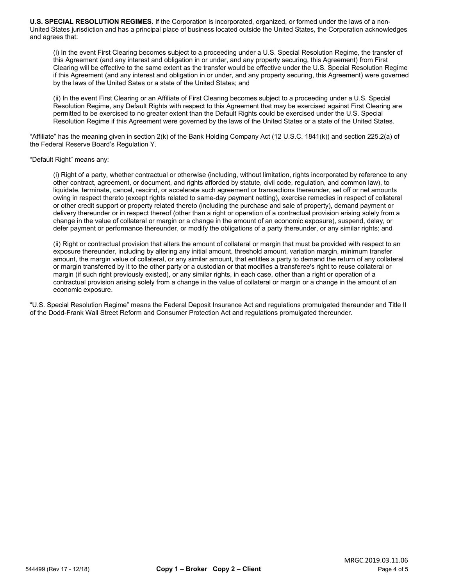**U.S. SPECIAL RESOLUTION REGIMES.** If the Corporation is incorporated, organized, or formed under the laws of a non-United States jurisdiction and has a principal place of business located outside the United States, the Corporation acknowledges and agrees that:

(i) In the event First Clearing becomes subject to a proceeding under a U.S. Special Resolution Regime, the transfer of this Agreement (and any interest and obligation in or under, and any property securing, this Agreement) from First Clearing will be effective to the same extent as the transfer would be effective under the U.S. Special Resolution Regime if this Agreement (and any interest and obligation in or under, and any property securing, this Agreement) were governed by the laws of the United Sates or a state of the United States; and

(ii) In the event First Clearing or an Affiliate of First Clearing becomes subject to a proceeding under a U.S. Special Resolution Regime, any Default Rights with respect to this Agreement that may be exercised against First Clearing are permitted to be exercised to no greater extent than the Default Rights could be exercised under the U.S. Special Resolution Regime if this Agreement were governed by the laws of the United States or a state of the United States.

"Affiliate" has the meaning given in section 2(k) of the Bank Holding Company Act (12 U.S.C. 1841(k)) and section 225.2(a) of the Federal Reserve Board's Regulation Y.

## "Default Right" means any:

(i) Right of a party, whether contractual or otherwise (including, without limitation, rights incorporated by reference to any other contract, agreement, or document, and rights afforded by statute, civil code, regulation, and common law), to liquidate, terminate, cancel, rescind, or accelerate such agreement or transactions thereunder, set off or net amounts owing in respect thereto (except rights related to same-day payment netting), exercise remedies in respect of collateral or other credit support or property related thereto (including the purchase and sale of property), demand payment or delivery thereunder or in respect thereof (other than a right or operation of a contractual provision arising solely from a change in the value of collateral or margin or a change in the amount of an economic exposure), suspend, delay, or defer payment or performance thereunder, or modify the obligations of a party thereunder, or any similar rights; and

(ii) Right or contractual provision that alters the amount of collateral or margin that must be provided with respect to an exposure thereunder, including by altering any initial amount, threshold amount, variation margin, minimum transfer amount, the margin value of collateral, or any similar amount, that entitles a party to demand the return of any collateral or margin transferred by it to the other party or a custodian or that modifies a transferee's right to reuse collateral or margin (if such right previously existed), or any similar rights, in each case, other than a right or operation of a contractual provision arising solely from a change in the value of collateral or margin or a change in the amount of an economic exposure.

"U.S. Special Resolution Regime" means the Federal Deposit Insurance Act and regulations promulgated thereunder and Title II of the Dodd-Frank Wall Street Reform and Consumer Protection Act and regulations promulgated thereunder.